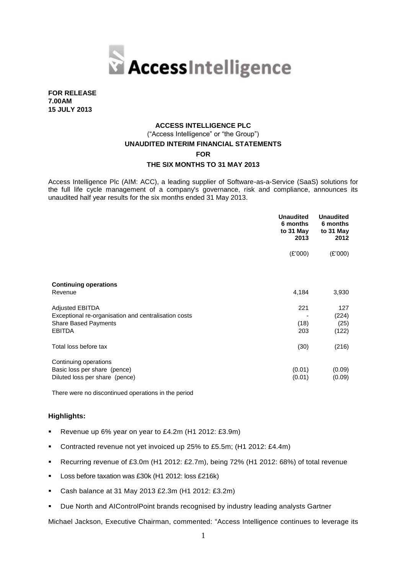

**FOR RELEASE 7.00AM 15 JULY 2013**

# **ACCESS INTELLIGENCE PLC**  ("Access Intelligence" or "the Group") **UNAUDITED INTERIM FINANCIAL STATEMENTS FOR THE SIX MONTHS TO 31 MAY 2013**

Access Intelligence Plc (AIM: ACC), a leading supplier of Software-as-a-Service (SaaS) solutions for the full life cycle management of a company's governance, risk and compliance, announces its unaudited half year results for the six months ended 31 May 2013.

|                                                      | <b>Unaudited</b><br>6 months<br>to 31 May<br>2013 | <b>Unaudited</b><br>6 months<br>to 31 May<br>2012 |
|------------------------------------------------------|---------------------------------------------------|---------------------------------------------------|
|                                                      | (E'000)                                           | (E'000)                                           |
| <b>Continuing operations</b>                         |                                                   |                                                   |
| Revenue                                              | 4,184                                             | 3,930                                             |
| <b>Adjusted EBITDA</b>                               | 221                                               | 127                                               |
| Exceptional re-organisation and centralisation costs |                                                   | (224)                                             |
| <b>Share Based Payments</b>                          | (18)                                              | (25)                                              |
| <b>EBITDA</b>                                        | 203                                               | (122)                                             |
| Total loss before tax                                | (30)                                              | (216)                                             |
| Continuing operations                                |                                                   |                                                   |
| Basic loss per share (pence)                         | (0.01)                                            | (0.09)                                            |
| Diluted loss per share (pence)                       | (0.01)                                            | (0.09)                                            |

There were no discontinued operations in the period

# **Highlights:**

- Revenue up 6% year on year to £4.2m (H1 2012: £3.9m)
- Contracted revenue not yet invoiced up 25% to £5.5m; (H1 2012: £4.4m)
- Recurring revenue of £3.0m (H1 2012: £2.7m), being 72% (H1 2012: 68%) of total revenue
- Loss before taxation was £30k (H1 2012: loss £216k)
- Cash balance at 31 May 2013 £2.3m (H1 2012: £3.2m)
- Due North and AIControlPoint brands recognised by industry leading analysts Gartner

Michael Jackson, Executive Chairman, commented: "Access Intelligence continues to leverage its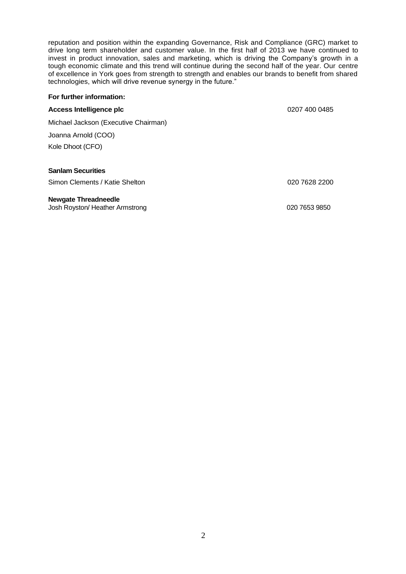reputation and position within the expanding Governance, Risk and Compliance (GRC) market to drive long term shareholder and customer value. In the first half of 2013 we have continued to invest in product innovation, sales and marketing, which is driving the Company's growth in a tough economic climate and this trend will continue during the second half of the year. Our centre of excellence in York goes from strength to strength and enables our brands to benefit from shared technologies, which will drive revenue synergy in the future."

# **For further information: Access Intelligence plc 1200 0485 1200 0485 1200 0485** Michael Jackson (Executive Chairman) Joanna Arnold (COO) Kole Dhoot (CFO) **Sanlam Securities** Simon Clements / Katie Shelton 020 7628 2200 **Newgate Threadneedle** Josh Royston/ Heather Armstrong020 7653 9850

2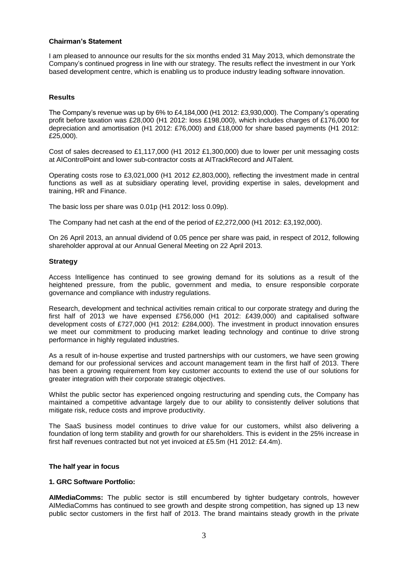#### **Chairman's Statement**

I am pleased to announce our results for the six months ended 31 May 2013, which demonstrate the Company's continued progress in line with our strategy. The results reflect the investment in our York based development centre, which is enabling us to produce industry leading software innovation.

#### **Results**

The Company's revenue was up by 6% to £4,184,000 (H1 2012: £3,930,000). The Company's operating profit before taxation was £28,000 (H1 2012: loss £198,000), which includes charges of £176,000 for depreciation and amortisation (H1 2012: £76,000) and £18,000 for share based payments (H1 2012: £25,000).

Cost of sales decreased to £1,117,000 (H1 2012 £1,300,000) due to lower per unit messaging costs at AIControlPoint and lower sub-contractor costs at AITrackRecord and AITalent.

Operating costs rose to £3,021,000 (H1 2012 £2,803,000), reflecting the investment made in central functions as well as at subsidiary operating level, providing expertise in sales, development and training, HR and Finance.

The basic loss per share was 0.01p (H1 2012: loss 0.09p).

The Company had net cash at the end of the period of £2,272,000 (H1 2012: £3,192,000).

On 26 April 2013, an annual dividend of 0.05 pence per share was paid, in respect of 2012, following shareholder approval at our Annual General Meeting on 22 April 2013.

#### **Strategy**

Access Intelligence has continued to see growing demand for its solutions as a result of the heightened pressure, from the public, government and media, to ensure responsible corporate governance and compliance with industry regulations.

Research, development and technical activities remain critical to our corporate strategy and during the first half of 2013 we have expensed £756,000 (H1 2012: £439,000) and capitalised software development costs of £727,000 (H1 2012: £284,000). The investment in product innovation ensures we meet our commitment to producing market leading technology and continue to drive strong performance in highly regulated industries.

As a result of in-house expertise and trusted partnerships with our customers, we have seen growing demand for our professional services and account management team in the first half of 2013. There has been a growing requirement from key customer accounts to extend the use of our solutions for greater integration with their corporate strategic objectives.

Whilst the public sector has experienced ongoing restructuring and spending cuts, the Company has maintained a competitive advantage largely due to our ability to consistently deliver solutions that mitigate risk, reduce costs and improve productivity.

The SaaS business model continues to drive value for our customers, whilst also delivering a foundation of long term stability and growth for our shareholders. This is evident in the 25% increase in first half revenues contracted but not yet invoiced at £5.5m (H1 2012: £4.4m).

#### **The half year in focus**

#### **1. GRC Software Portfolio:**

**AIMediaComms:** The public sector is still encumbered by tighter budgetary controls, however AIMediaComms has continued to see growth and despite strong competition, has signed up 13 new public sector customers in the first half of 2013. The brand maintains steady growth in the private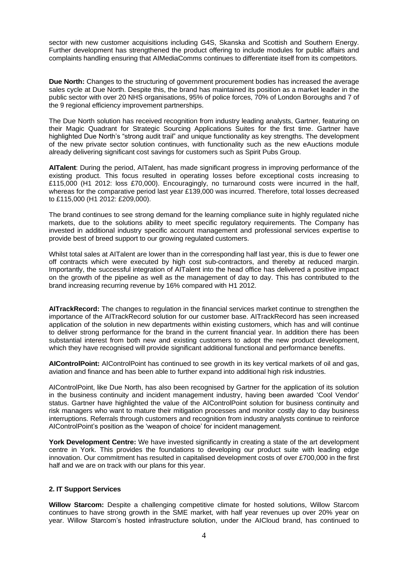sector with new customer acquisitions including G4S, Skanska and Scottish and Southern Energy. Further development has strengthened the product offering to include modules for public affairs and complaints handling ensuring that AIMediaComms continues to differentiate itself from its competitors.

**Due North:** Changes to the structuring of government procurement bodies has increased the average sales cycle at Due North. Despite this, the brand has maintained its position as a market leader in the public sector with over 20 NHS organisations, 95% of police forces, 70% of London Boroughs and 7 of the 9 regional efficiency improvement partnerships.

The Due North solution has received recognition from industry leading analysts, Gartner, featuring on their Magic Quadrant for Strategic Sourcing Applications Suites for the first time. Gartner have highlighted Due North's "strong audit trail" and unique functionality as key strengths. The development of the new private sector solution continues, with functionality such as the new eAuctions module already delivering significant cost savings for customers such as Spirit Pubs Group.

**AITalent**: During the period, AITalent, has made significant progress in improving performance of the existing product. This focus resulted in operating losses before exceptional costs increasing to £115,000 (H1 2012: loss £70,000). Encouragingly, no turnaround costs were incurred in the half, whereas for the comparative period last year £139,000 was incurred. Therefore, total losses decreased to £115,000 (H1 2012: £209,000).

The brand continues to see strong demand for the learning compliance suite in highly regulated niche markets, due to the solutions ability to meet specific regulatory requirements. The Company has invested in additional industry specific account management and professional services expertise to provide best of breed support to our growing regulated customers.

Whilst total sales at AITalent are lower than in the corresponding half last year, this is due to fewer one off contracts which were executed by high cost sub-contractors, and thereby at reduced margin. Importantly, the successful integration of AITalent into the head office has delivered a positive impact on the growth of the pipeline as well as the management of day to day. This has contributed to the brand increasing recurring revenue by 16% compared with H1 2012.

**AITrackRecord:** The changes to regulation in the financial services market continue to strengthen the importance of the AITrackRecord solution for our customer base. AITrackRecord has seen increased application of the solution in new departments within existing customers, which has and will continue to deliver strong performance for the brand in the current financial year. In addition there has been substantial interest from both new and existing customers to adopt the new product development, which they have recognised will provide significant additional functional and performance benefits.

**AIControlPoint:** AIControlPoint has continued to see growth in its key vertical markets of oil and gas, aviation and finance and has been able to further expand into additional high risk industries.

AIControlPoint, like Due North, has also been recognised by Gartner for the application of its solution in the business continuity and incident management industry, having been awarded 'Cool Vendor' status. Gartner have highlighted the value of the AIControlPoint solution for business continuity and risk managers who want to mature their mitigation processes and monitor costly day to day business interruptions. Referrals through customers and recognition from industry analysts continue to reinforce AIControlPoint's position as the 'weapon of choice' for incident management.

**York Development Centre:** We have invested significantly in creating a state of the art development centre in York. This provides the foundations to developing our product suite with leading edge innovation. Our commitment has resulted in capitalised development costs of over £700,000 in the first half and we are on track with our plans for this year.

# **2. IT Support Services**

**Willow Starcom:** Despite a challenging competitive climate for hosted solutions, Willow Starcom continues to have strong growth in the SME market, with half year revenues up over 20% year on year. Willow Starcom's hosted infrastructure solution, under the AICloud brand, has continued to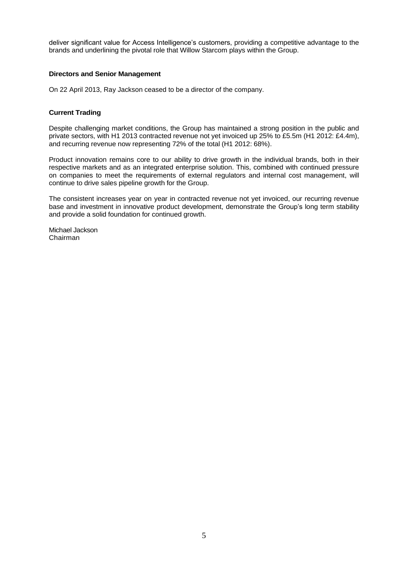deliver significant value for Access Intelligence's customers, providing a competitive advantage to the brands and underlining the pivotal role that Willow Starcom plays within the Group.

## **Directors and Senior Management**

On 22 April 2013, Ray Jackson ceased to be a director of the company.

#### **Current Trading**

Despite challenging market conditions, the Group has maintained a strong position in the public and private sectors, with H1 2013 contracted revenue not yet invoiced up 25% to £5.5m (H1 2012: £4.4m), and recurring revenue now representing 72% of the total (H1 2012: 68%).

Product innovation remains core to our ability to drive growth in the individual brands, both in their respective markets and as an integrated enterprise solution. This, combined with continued pressure on companies to meet the requirements of external regulators and internal cost management, will continue to drive sales pipeline growth for the Group.

The consistent increases year on year in contracted revenue not yet invoiced, our recurring revenue base and investment in innovative product development, demonstrate the Group's long term stability and provide a solid foundation for continued growth.

Michael Jackson Chairman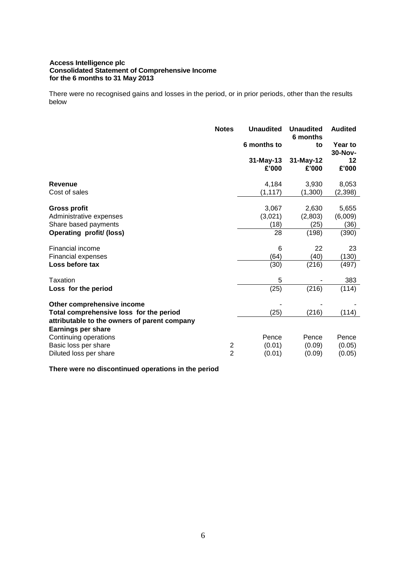#### **Access Intelligence plc Consolidated Statement of Comprehensive Income for the 6 months to 31 May 2013**

There were no recognised gains and losses in the period, or in prior periods, other than the results below

|                                                                                                                                                    | <b>Notes</b>                              | <b>Unaudited</b>               | <b>Unaudited</b><br>6 months      | <b>Audited</b>                    |
|----------------------------------------------------------------------------------------------------------------------------------------------------|-------------------------------------------|--------------------------------|-----------------------------------|-----------------------------------|
|                                                                                                                                                    |                                           | 6 months to                    | to                                | Year to<br>30-Nov-                |
|                                                                                                                                                    |                                           | 31-May-13<br>£'000             | 31-May-12<br>£'000                | 12<br>£'000                       |
| <b>Revenue</b><br>Cost of sales                                                                                                                    |                                           | 4,184<br>(1, 117)              | 3,930<br>(1,300)                  | 8,053<br>(2, 398)                 |
| <b>Gross profit</b><br>Administrative expenses<br>Share based payments<br><b>Operating profit/ (loss)</b>                                          |                                           | 3,067<br>(3,021)<br>(18)<br>28 | 2,630<br>(2,803)<br>(25)<br>(198) | 5,655<br>(6,009)<br>(36)<br>(390) |
| Financial income<br><b>Financial expenses</b><br>Loss before tax                                                                                   |                                           | 6<br>(64)<br>(30)              | 22<br>(40)<br>(216)               | 23<br>(130)<br>(497)              |
| Taxation<br>Loss for the period                                                                                                                    |                                           | 5<br>(25)                      | (216)                             | 383<br>(114)                      |
| Other comprehensive income<br>Total comprehensive loss for the period<br>attributable to the owners of parent company<br><b>Earnings per share</b> |                                           | (25)                           | (216)                             | (114)                             |
| Continuing operations<br>Basic loss per share<br>Diluted loss per share                                                                            | $\overline{\mathbf{c}}$<br>$\overline{2}$ | Pence<br>(0.01)<br>(0.01)      | Pence<br>(0.09)<br>(0.09)         | Pence<br>(0.05)<br>(0.05)         |

**There were no discontinued operations in the period**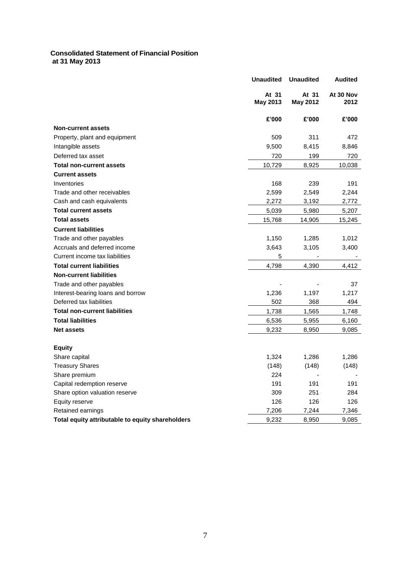# **Consolidated Statement of Financial Position at 31 May 2013**

|                                                  | <b>Unaudited</b>         | <b>Unaudited</b>         | <b>Audited</b>    |
|--------------------------------------------------|--------------------------|--------------------------|-------------------|
|                                                  | At 31<br><b>May 2013</b> | At 31<br><b>May 2012</b> | At 30 Nov<br>2012 |
|                                                  | £'000                    | £'000                    | £'000             |
| <b>Non-current assets</b>                        |                          |                          |                   |
| Property, plant and equipment                    | 509                      | 311                      | 472               |
| Intangible assets                                | 9,500                    | 8,415                    | 8,846             |
| Deferred tax asset                               | 720                      | 199                      | 720               |
| <b>Total non-current assets</b>                  | 10,729                   | 8,925                    | 10,038            |
| <b>Current assets</b>                            |                          |                          |                   |
| Inventories                                      | 168                      | 239                      | 191               |
| Trade and other receivables                      | 2,599                    | 2,549                    | 2,244             |
| Cash and cash equivalents                        | 2,272                    | 3,192                    | 2,772             |
| <b>Total current assets</b>                      | 5,039                    | 5,980                    | 5,207             |
| <b>Total assets</b>                              | 15,768                   | 14,905                   | 15,245            |
| <b>Current liabilities</b>                       |                          |                          |                   |
| Trade and other payables                         | 1,150                    | 1,285                    | 1,012             |
| Accruals and deferred income                     | 3,643                    | 3,105                    | 3,400             |
| Current income tax liabilities                   | 5                        |                          |                   |
| <b>Total current liabilities</b>                 | 4,798                    | 4,390                    | 4,412             |
| <b>Non-current liabilities</b>                   |                          |                          |                   |
| Trade and other payables                         |                          |                          | 37                |
| Interest-bearing loans and borrow                | 1,236                    | 1,197                    | 1,217             |
| Deferred tax liabilities                         | 502                      | 368                      | 494               |
| <b>Total non-current liabilities</b>             | 1,738                    | 1,565                    | 1,748             |
| <b>Total liabilities</b>                         | 6,536                    | 5,955                    | 6,160             |
| <b>Net assets</b>                                | 9,232                    | 8,950                    | 9,085             |
|                                                  |                          |                          |                   |
| Equity                                           |                          |                          |                   |
| Share capital                                    | 1,324                    | 1,286                    | 1,286             |
| <b>Treasury Shares</b>                           | (148)                    | (148)                    | (148)             |
| Share premium                                    | 224                      |                          |                   |
| Capital redemption reserve                       | 191                      | 191                      | 191               |
| Share option valuation reserve                   | 309                      | 251                      | 284               |
| Equity reserve                                   | 126                      | 126                      | 126               |
| Retained earnings                                | 7,206                    | 7,244                    | 7,346             |
| Total equity attributable to equity shareholders | 9,232                    | 8,950                    | 9,085             |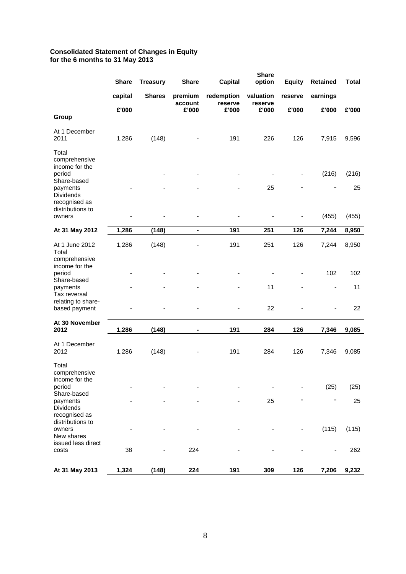#### **Consolidated Statement of Changes in Equity for the 6 months to 31 May 2013**

|                                                                                                                                                  | <b>Share</b> | <b>Treasury</b> | <b>Share</b>       | <b>Capital</b>        | <b>Share</b><br>option | <b>Equity</b> | <b>Retained</b>          | <b>Total</b>         |
|--------------------------------------------------------------------------------------------------------------------------------------------------|--------------|-----------------|--------------------|-----------------------|------------------------|---------------|--------------------------|----------------------|
|                                                                                                                                                  | capital      | <b>Shares</b>   | premium<br>account | redemption<br>reserve | valuation              | reserve       | earnings                 |                      |
|                                                                                                                                                  | £'000        |                 | £'000              | £'000                 | reserve<br>£'000       | £'000         | £'000                    | £'000                |
| Group                                                                                                                                            |              |                 |                    |                       |                        |               |                          |                      |
| At 1 December<br>2011                                                                                                                            | 1,286        | (148)           |                    | 191                   | 226                    | 126           | 7,915                    | 9,596                |
| Total<br>comprehensive<br>income for the<br>period<br>Share-based<br>payments<br><b>Dividends</b><br>recognised as<br>distributions to<br>owners |              |                 |                    |                       | 25                     | -             | (216)<br>(455)           | (216)<br>25<br>(455) |
| At 31 May 2012                                                                                                                                   | 1,286        | (148)           | $\blacksquare$     | 191                   | 251                    | 126           | 7,244                    | 8,950                |
|                                                                                                                                                  |              |                 |                    |                       |                        |               |                          |                      |
| At 1 June 2012<br>Total                                                                                                                          | 1,286        | (148)           |                    | 191                   | 251                    | 126           | 7,244                    | 8,950                |
| comprehensive<br>income for the<br>period<br>Share-based                                                                                         |              |                 |                    |                       |                        |               | 102                      | 102                  |
| payments<br>Tax reversal<br>relating to share-                                                                                                   |              |                 |                    |                       | 11                     |               | $\overline{\phantom{a}}$ | 11                   |
| based payment                                                                                                                                    |              |                 |                    |                       | 22                     |               |                          | 22                   |
| At 30 November<br>2012                                                                                                                           | 1,286        | (148)           | $\blacksquare$     | 191                   | 284                    | 126           | 7,346                    | 9,085                |
| At 1 December<br>2012                                                                                                                            | 1,286        | (148)           |                    | 191                   | 284                    | 126           | 7,346                    | 9,085                |
| Total<br>comprehensive<br>income for the<br>period                                                                                               |              |                 |                    |                       |                        |               | (25)                     | (25)                 |
| Share-based                                                                                                                                      |              |                 |                    |                       |                        |               |                          |                      |
| payments<br>Dividends<br>recognised as<br>distributions to                                                                                       |              |                 |                    |                       | 25                     |               |                          | 25                   |
| owners<br>New shares<br>issued less direct                                                                                                       |              |                 |                    |                       |                        |               | (115)                    | (115)                |
| costs                                                                                                                                            | 38           |                 | 224                |                       |                        |               |                          | 262                  |
| At 31 May 2013                                                                                                                                   | 1,324        | (148)           | 224                | 191                   | 309                    | 126           | 7,206                    | 9,232                |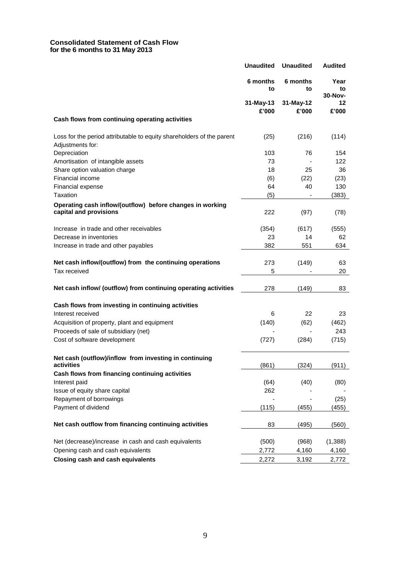#### **Consolidated Statement of Cash Flow for the 6 months to 31 May 2013**

|                                                                                           | <b>Unaudited</b>   | <b>Unaudited</b>   | <b>Audited</b>        |
|-------------------------------------------------------------------------------------------|--------------------|--------------------|-----------------------|
|                                                                                           | 6 months<br>to     | 6 months<br>to     | Year<br>to<br>30-Nov- |
|                                                                                           | 31-May-13<br>£'000 | 31-May-12<br>£'000 | 12<br>£'000           |
| Cash flows from continuing operating activities                                           |                    |                    |                       |
| Loss for the period attributable to equity shareholders of the parent<br>Adjustments for: | (25)               | (216)              | (114)                 |
| Depreciation                                                                              | 103                | 76                 | 154                   |
| Amortisation of intangible assets                                                         | 73                 |                    | 122                   |
| Share option valuation charge                                                             | 18                 | 25                 | 36                    |
| Financial income                                                                          | (6)                | (22)               | (23)                  |
| Financial expense                                                                         | 64                 | 40                 | 130                   |
| Taxation                                                                                  | (5)                |                    | (383)                 |
| Operating cash inflow/(outflow) before changes in working<br>capital and provisions       | 222                | (97)               | (78)                  |
|                                                                                           |                    |                    |                       |
| Increase in trade and other receivables                                                   | (354)              | (617)              | (555)                 |
| Decrease in inventories                                                                   | 23                 | 14                 | 62                    |
| Increase in trade and other payables                                                      | 382                | 551                | 634                   |
| Net cash inflow/(outflow) from the continuing operations                                  | 273                | (149)              | 63                    |
| Tax received                                                                              | 5                  |                    | 20                    |
| Net cash inflow/ (outflow) from continuing operating activities                           | 278                | (149)              | 83                    |
| Cash flows from investing in continuing activities                                        |                    |                    |                       |
| Interest received                                                                         | 6                  | 22                 | 23                    |
| Acquisition of property, plant and equipment                                              | (140)              | (62)               | (462)                 |
| Proceeds of sale of subsidiary (net)                                                      |                    |                    | 243                   |
| Cost of software development                                                              | (727)              | (284)              | (715)                 |
| Net cash (outflow)/inflow from investing in continuing                                    |                    |                    |                       |
| activities                                                                                | (861)              | (324)              | (911)                 |
| Cash flows from financing continuing activities                                           |                    |                    |                       |
| Interest paid                                                                             | (64)               | (40)               | (80)                  |
| Issue of equity share capital                                                             | 262                |                    |                       |
| Repayment of borrowings                                                                   |                    |                    | (25)                  |
| Payment of dividend                                                                       | (115)              | (455)              | (455)                 |
| Net cash outflow from financing continuing activities                                     | 83                 | (495)              | (560)                 |
| Net (decrease)/increase in cash and cash equivalents                                      | (500)              | (968)              | (1, 388)              |
| Opening cash and cash equivalents                                                         | 2,772              | 4,160              | 4,160                 |
| <b>Closing cash and cash equivalents</b>                                                  | 2,272              | 3,192              | 2,772                 |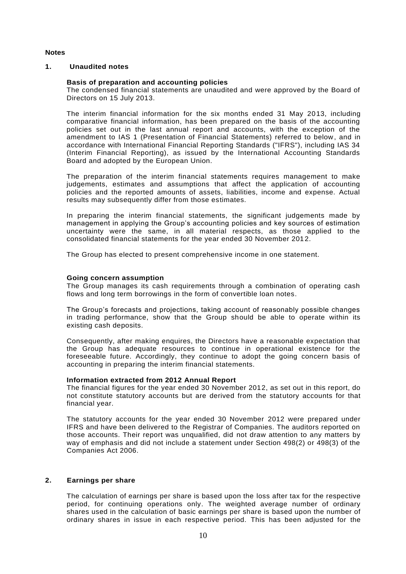# **Notes**

# **1. Unaudited notes**

#### **Basis of preparation and accounting policies**

The condensed financial statements are unaudited and were approved by the Board of Directors on 15 July 2013.

The interim financial information for the six months ended 31 May 2013, including comparative financial information, has been prepared on the basis of the accounting policies set out in the last annual report and accounts, with the exception of the amendment to IAS 1 (Presentation of Financial Statements) referred to below, and in accordance with International Financial Reporting Standards ("IFRS"), including IAS 34 (Interim Financial Reporting), as issued by the International Accounting Standards Board and adopted by the European Union.

The preparation of the interim financial statements requires management to make judgements, estimates and assumptions that affect the application of accounting policies and the reported amounts of assets, liabilities, income and expense. Actual results may subsequently differ from those estimates.

In preparing the interim financial statements, the significant judgements made by management in applying the Group's accounting policies and key sources of estimation uncertainty were the same, in all material respects, as those applied to the consolidated financial statements for the year ended 30 November 2012.

The Group has elected to present comprehensive income in one statement.

#### **Going concern assumption**

The Group manages its cash requirements through a combination of operating cash flows and long term borrowings in the form of convertible loan notes.

The Group's forecasts and projections, taking account of reasonably possible changes in trading performance, show that the Group should be able to operate within its existing cash deposits.

Consequently, after making enquires, the Directors have a reasonable expectation that the Group has adequate resources to continue in operational existence for the foreseeable future. Accordingly, they continue to adopt the going concern basis of accounting in preparing the interim financial statements.

#### **Information extracted from 2012 Annual Report**

The financial figures for the year ended 30 November 2012, as set out in this report, do not constitute statutory accounts but are derived from the statutory accounts for that financial year.

The statutory accounts for the year ended 30 November 2012 were prepared under IFRS and have been delivered to the Registrar of Companies. The auditors reported on those accounts. Their report was unqualified, did not draw attention to any matters by way of emphasis and did not include a statement under Section 498(2) or 498(3) of the Companies Act 2006.

# **2. Earnings per share**

The calculation of earnings per share is based upon the loss after tax for the respective period, for continuing operations only. The weighted average number of ordinary shares used in the calculation of basic earnings per share is based upon the number of ordinary shares in issue in each respective period. This has been adjusted for the